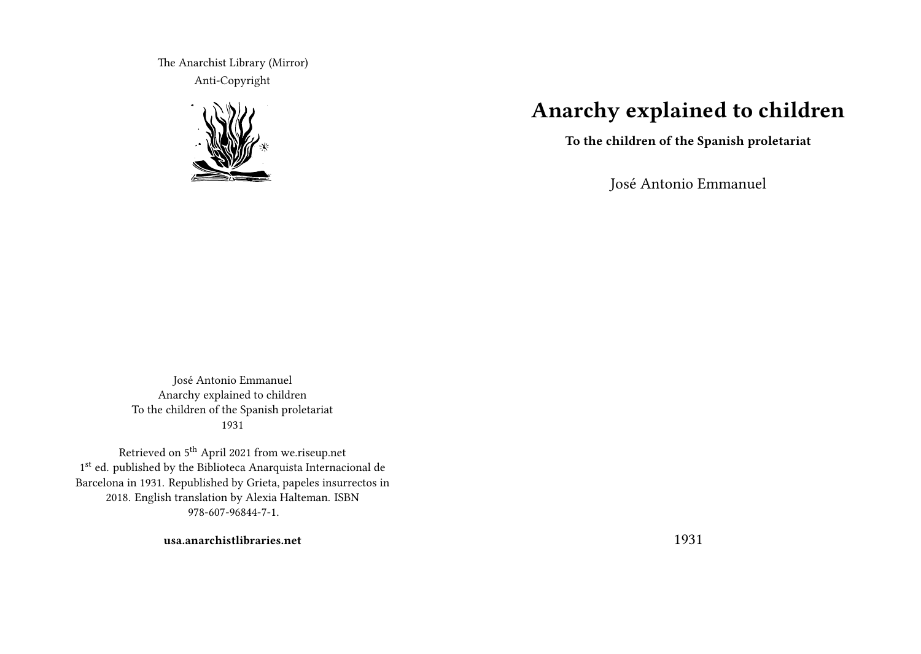The Anarchist Library (Mirror) Anti-Copyright



# **Anarchy explained to children**

**To the children of the Spanish proletariat**

José Antonio Emmanuel

José Antonio Emmanuel Anarchy explained to children To the children of the Spanish proletariat 1931

Retrieved on 5<sup>th</sup> April 2021 from we.riseup.net 1st ed. published by the Biblioteca Anarquista Internacional de Barcelona in 1931. Republished by Grieta, papeles insurrectos in 2018. English translation by Alexia Halteman. ISBN 978-607-96844-7-1.

**usa.anarchistlibraries.net**

1931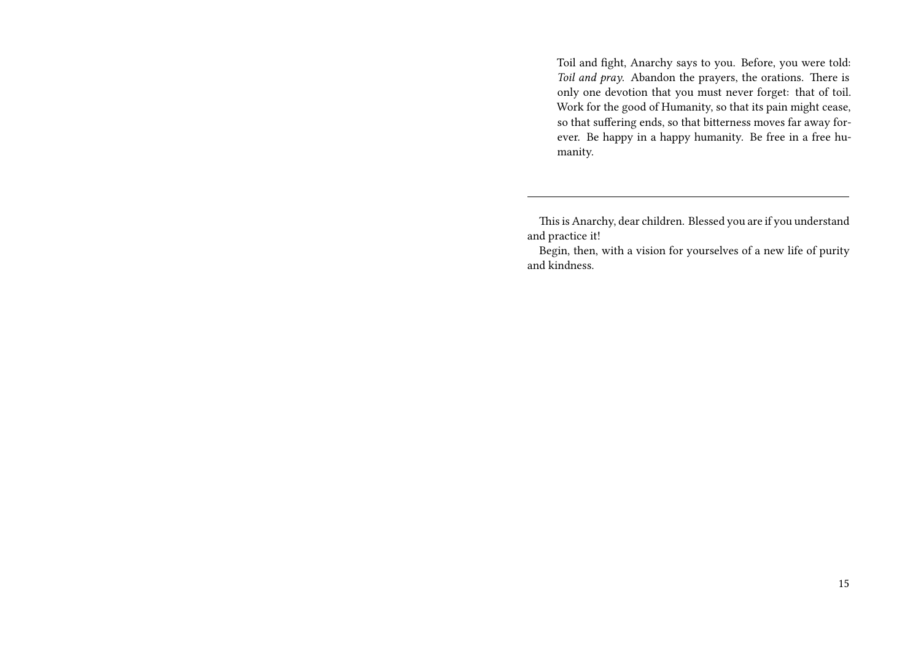Toil and fight, Anarchy says to you. Before, you were told: *Toil and pray*. Abandon the prayers, the orations. There is only one devotion that you must never forget: that of toil. Work for the good of Humanity, so that its pain might cease, so that suffering ends, so that bitterness moves far away forever. Be happy in a happy humanity. Be free in a free humanity.

This is Anarchy, dear children. Blessed you are if you understand and practice it!

Begin, then, with a vision for yourselves of a new life of purity and kindness.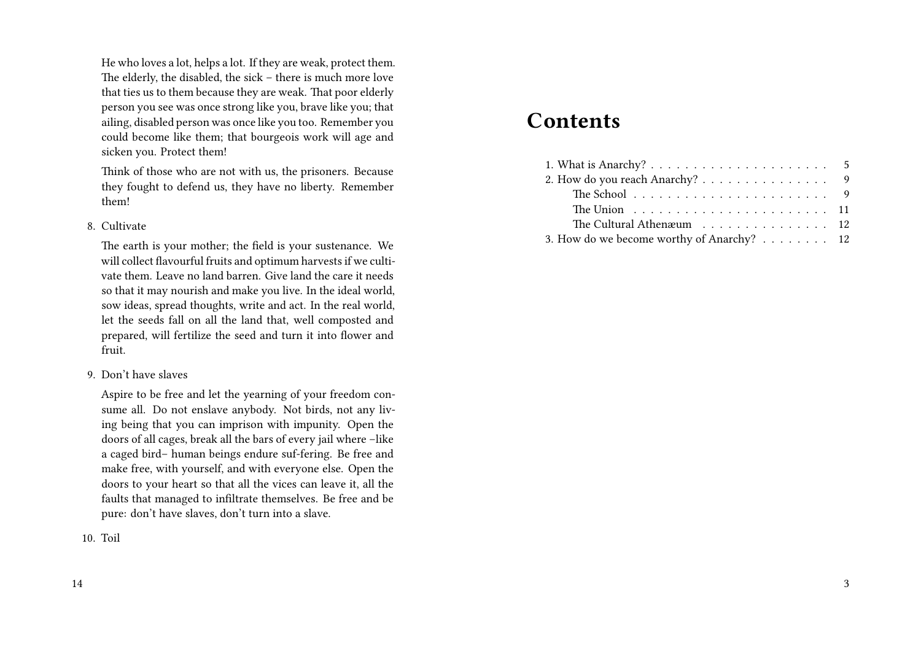He who loves a lot, helps a lot. If they are weak, protect them. The elderly, the disabled, the sick – there is much more love that ties us to them because they are weak. That poor elderly person you see was once strong like you, brave like you; that ailing, disabled person was once like you too. Remember you could become like them; that bourgeois work will age and sicken you. Protect them!

Think of those who are not with us, the prisoners. Because they fought to defend us, they have no liberty. Remember them!

#### 8. Cultivate

The earth is your mother; the field is your sustenance. We will collect flavourful fruits and optimum harvests if we cultivate them. Leave no land barren. Give land the care it needs so that it may nourish and make you live. In the ideal world, sow ideas, spread thoughts, write and act. In the real world, let the seeds fall on all the land that, well composted and prepared, will fertilize the seed and turn it into flower and fruit.

9. Don't have slaves

Aspire to be free and let the yearning of your freedom consume all. Do not enslave anybody. Not birds, not any living being that you can imprison with impunity. Open the doors of all cages, break all the bars of every jail where –like a caged bird– human beings endure suf-fering. Be free and make free, with yourself, and with everyone else. Open the doors to your heart so that all the vices can leave it, all the faults that managed to infiltrate themselves. Be free and be pure: don't have slaves, don't turn into a slave.

10. Toil

## **Contents**

| 2. How do you reach Anarchy? 9                                           |  |
|--------------------------------------------------------------------------|--|
| The School $\ldots \ldots \ldots \ldots \ldots \ldots \ldots \ldots$     |  |
| The Union $\ldots \ldots \ldots \ldots \ldots \ldots \ldots \ldots 11$   |  |
| The Cultural Athen $x$ um $\ldots$ , $\ldots$ , $\ldots$ , $\ldots$ , 12 |  |
| 3. How do we become worthy of Anarchy? 12                                |  |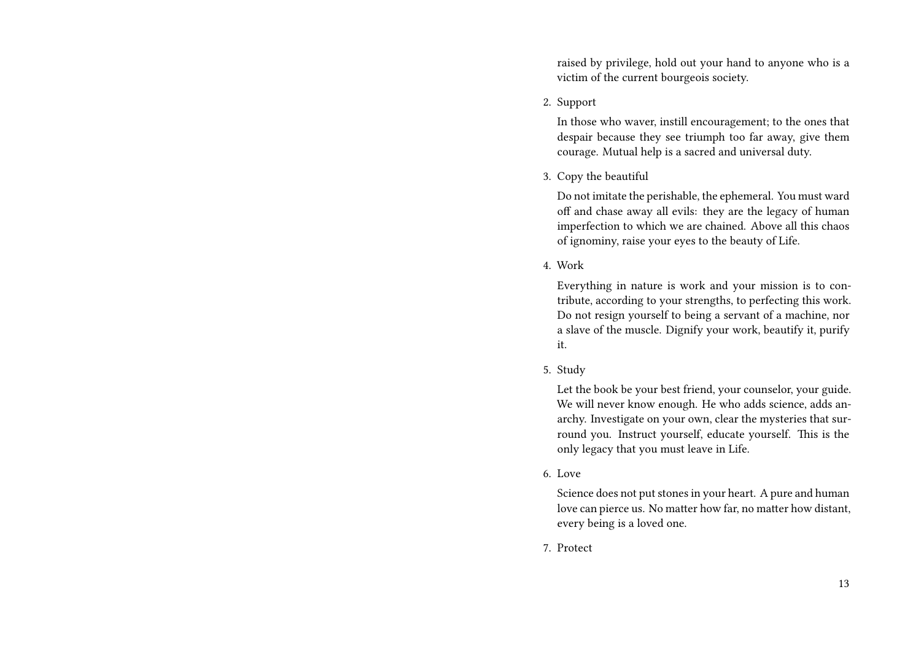raised by privilege, hold out your hand to anyone who is a victim of the current bourgeois society.

2. Support

In those who waver, instill encouragement; to the ones that despair because they see triumph too far away, give them courage. Mutual help is a sacred and universal duty.

#### 3. Copy the beautiful

Do not imitate the perishable, the ephemeral. You must ward off and chase away all evils: they are the legacy of human imperfection to which we are chained. Above all this chaos of ignominy, raise your eyes to the beauty of Life.

4. Work

Everything in nature is work and your mission is to contribute, according to your strengths, to perfecting this work. Do not resign yourself to being a servant of a machine, nor a slave of the muscle. Dignify your work, beautify it, purify it.

5. Study

Let the book be your best friend, your counselor, your guide. We will never know enough. He who adds science, adds anarchy. Investigate on your own, clear the mysteries that surround you. Instruct yourself, educate yourself. This is the only legacy that you must leave in Life.

6. Love

Science does not put stones in your heart. A pure and human love can pierce us. No matter how far, no matter how distant, every being is a loved one.

7. Protect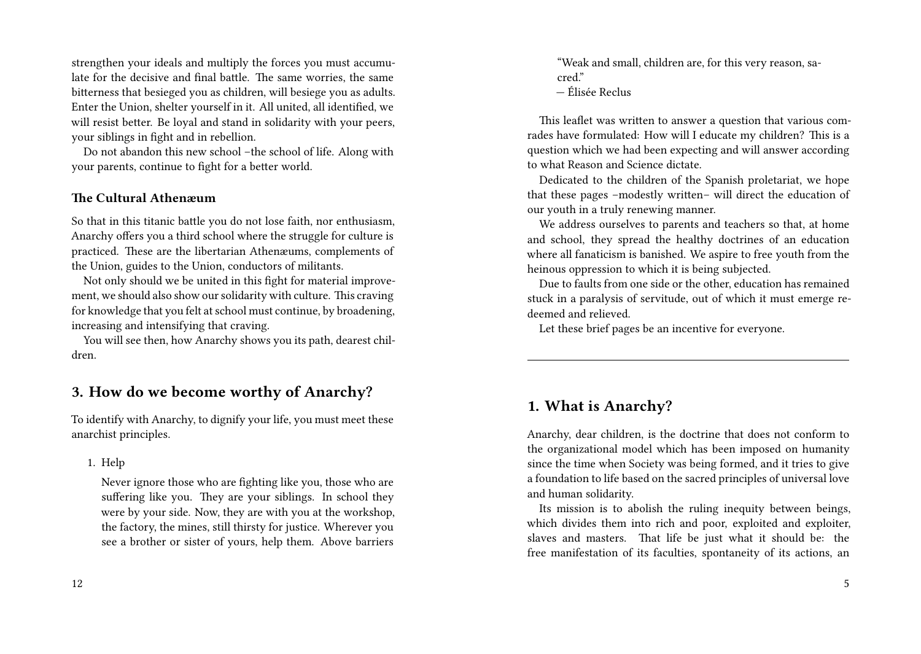strengthen your ideals and multiply the forces you must accumulate for the decisive and final battle. The same worries, the same bitterness that besieged you as children, will besiege you as adults. Enter the Union, shelter yourself in it. All united, all identified, we will resist better. Be loyal and stand in solidarity with your peers, your siblings in fight and in rebellion.

Do not abandon this new school –the school of life. Along with your parents, continue to fight for a better world.

#### **The Cultural Athenæum**

So that in this titanic battle you do not lose faith, nor enthusiasm, Anarchy offers you a third school where the struggle for culture is practiced. These are the libertarian Athenæums, complements of the Union, guides to the Union, conductors of militants.

Not only should we be united in this fight for material improvement, we should also show our solidarity with culture. This craving for knowledge that you felt at school must continue, by broadening, increasing and intensifying that craving.

You will see then, how Anarchy shows you its path, dearest children.

## **3. How do we become worthy of Anarchy?**

To identify with Anarchy, to dignify your life, you must meet these anarchist principles.

1. Help

Never ignore those who are fighting like you, those who are suffering like you. They are your siblings. In school they were by your side. Now, they are with you at the workshop, the factory, the mines, still thirsty for justice. Wherever you see a brother or sister of yours, help them. Above barriers

"Weak and small, children are, for this very reason, sacred<sup>"</sup> — Élisée Reclus

This leaflet was written to answer a question that various comrades have formulated: How will I educate my children? This is a question which we had been expecting and will answer according to what Reason and Science dictate.

Dedicated to the children of the Spanish proletariat, we hope that these pages –modestly written– will direct the education of our youth in a truly renewing manner.

We address ourselves to parents and teachers so that, at home and school, they spread the healthy doctrines of an education where all fanaticism is banished. We aspire to free youth from the heinous oppression to which it is being subjected.

Due to faults from one side or the other, education has remained stuck in a paralysis of servitude, out of which it must emerge redeemed and relieved.

Let these brief pages be an incentive for everyone.

## **1. What is Anarchy?**

Anarchy, dear children, is the doctrine that does not conform to the organizational model which has been imposed on humanity since the time when Society was being formed, and it tries to give a foundation to life based on the sacred principles of universal love and human solidarity.

Its mission is to abolish the ruling inequity between beings, which divides them into rich and poor, exploited and exploiter, slaves and masters. That life be just what it should be: the free manifestation of its faculties, spontaneity of its actions, an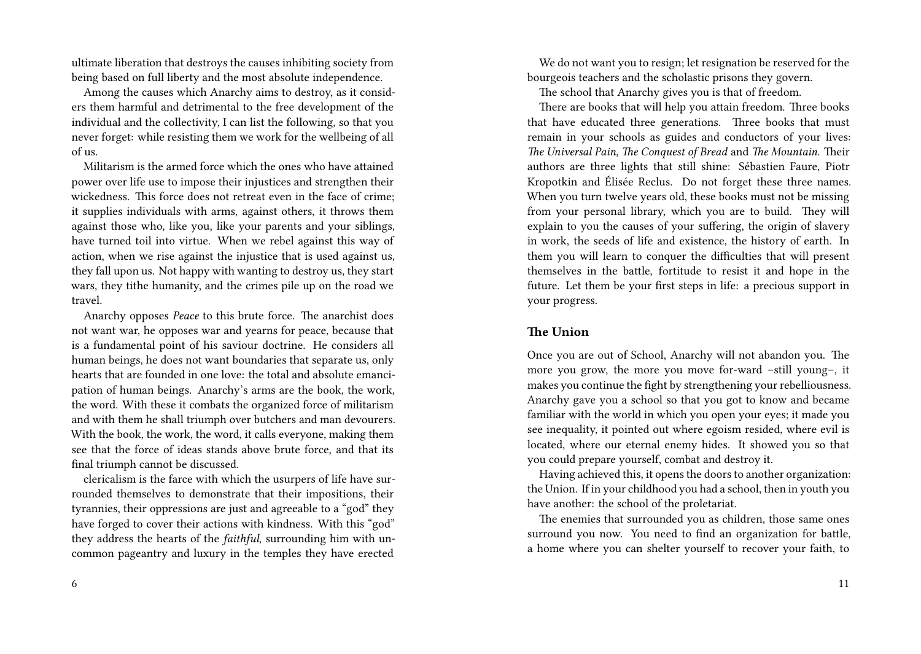ultimate liberation that destroys the causes inhibiting society from being based on full liberty and the most absolute independence.

Among the causes which Anarchy aims to destroy, as it considers them harmful and detrimental to the free development of the individual and the collectivity, I can list the following, so that you never forget: while resisting them we work for the wellbeing of all of us.

Militarism is the armed force which the ones who have attained power over life use to impose their injustices and strengthen their wickedness. This force does not retreat even in the face of crime; it supplies individuals with arms, against others, it throws them against those who, like you, like your parents and your siblings, have turned toil into virtue. When we rebel against this way of action, when we rise against the injustice that is used against us, they fall upon us. Not happy with wanting to destroy us, they start wars, they tithe humanity, and the crimes pile up on the road we travel.

Anarchy opposes *Peace* to this brute force. The anarchist does not want war, he opposes war and yearns for peace, because that is a fundamental point of his saviour doctrine. He considers all human beings, he does not want boundaries that separate us, only hearts that are founded in one love: the total and absolute emancipation of human beings. Anarchy's arms are the book, the work, the word. With these it combats the organized force of militarism and with them he shall triumph over butchers and man devourers. With the book, the work, the word, it calls everyone, making them see that the force of ideas stands above brute force, and that its final triumph cannot be discussed.

clericalism is the farce with which the usurpers of life have surrounded themselves to demonstrate that their impositions, their tyrannies, their oppressions are just and agreeable to a "god" they have forged to cover their actions with kindness. With this "god" they address the hearts of the *faithful*, surrounding him with uncommon pageantry and luxury in the temples they have erected

We do not want you to resign; let resignation be reserved for the bourgeois teachers and the scholastic prisons they govern.

The school that Anarchy gives you is that of freedom.

There are books that will help you attain freedom. Three books that have educated three generations. Three books that must remain in your schools as guides and conductors of your lives: *The Universal Pain*, *The Conquest of Bread* and *The Mountain*. Their authors are three lights that still shine: Sébastien Faure, Piotr Kropotkin and Élisée Reclus. Do not forget these three names. When you turn twelve years old, these books must not be missing from your personal library, which you are to build. They will explain to you the causes of your suffering, the origin of slavery in work, the seeds of life and existence, the history of earth. In them you will learn to conquer the difficulties that will present themselves in the battle, fortitude to resist it and hope in the future. Let them be your first steps in life: a precious support in your progress.

#### **The Union**

Once you are out of School, Anarchy will not abandon you. The more you grow, the more you move for-ward –still young–, it makes you continue the fight by strengthening your rebelliousness. Anarchy gave you a school so that you got to know and became familiar with the world in which you open your eyes; it made you see inequality, it pointed out where egoism resided, where evil is located, where our eternal enemy hides. It showed you so that you could prepare yourself, combat and destroy it.

Having achieved this, it opens the doors to another organization: the Union. If in your childhood you had a school, then in youth you have another: the school of the proletariat.

The enemies that surrounded you as children, those same ones surround you now. You need to find an organization for battle, a home where you can shelter yourself to recover your faith, to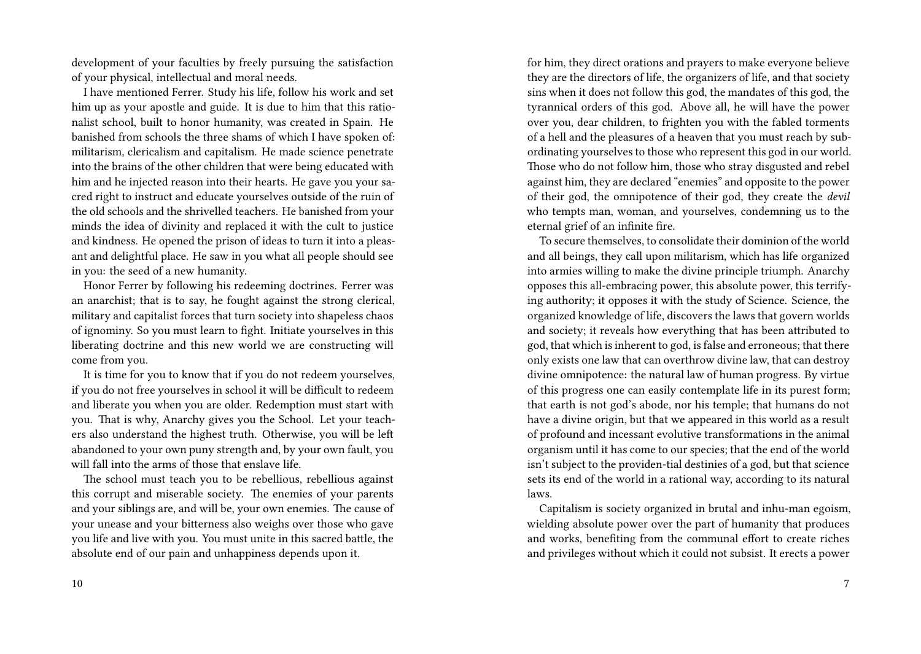development of your faculties by freely pursuing the satisfaction of your physical, intellectual and moral needs.

I have mentioned Ferrer. Study his life, follow his work and set him up as your apostle and guide. It is due to him that this rationalist school, built to honor humanity, was created in Spain. He banished from schools the three shams of which I have spoken of: militarism, clericalism and capitalism. He made science penetrate into the brains of the other children that were being educated with him and he injected reason into their hearts. He gave you your sacred right to instruct and educate yourselves outside of the ruin of the old schools and the shrivelled teachers. He banished from your minds the idea of divinity and replaced it with the cult to justice and kindness. He opened the prison of ideas to turn it into a pleasant and delightful place. He saw in you what all people should see in you: the seed of a new humanity.

Honor Ferrer by following his redeeming doctrines. Ferrer was an anarchist; that is to say, he fought against the strong clerical, military and capitalist forces that turn society into shapeless chaos of ignominy. So you must learn to fight. Initiate yourselves in this liberating doctrine and this new world we are constructing will come from you.

It is time for you to know that if you do not redeem yourselves, if you do not free yourselves in school it will be difficult to redeem and liberate you when you are older. Redemption must start with you. That is why, Anarchy gives you the School. Let your teachers also understand the highest truth. Otherwise, you will be left abandoned to your own puny strength and, by your own fault, you will fall into the arms of those that enslave life.

The school must teach you to be rebellious, rebellious against this corrupt and miserable society. The enemies of your parents and your siblings are, and will be, your own enemies. The cause of your unease and your bitterness also weighs over those who gave you life and live with you. You must unite in this sacred battle, the absolute end of our pain and unhappiness depends upon it.

for him, they direct orations and prayers to make everyone believe they are the directors of life, the organizers of life, and that society sins when it does not follow this god, the mandates of this god, the tyrannical orders of this god. Above all, he will have the power over you, dear children, to frighten you with the fabled torments of a hell and the pleasures of a heaven that you must reach by subordinating yourselves to those who represent this god in our world. Those who do not follow him, those who stray disgusted and rebel against him, they are declared "enemies" and opposite to the power of their god, the omnipotence of their god, they create the *devil* who tempts man, woman, and yourselves, condemning us to the eternal grief of an infinite fire.

To secure themselves, to consolidate their dominion of the world and all beings, they call upon militarism, which has life organized into armies willing to make the divine principle triumph. Anarchy opposes this all-embracing power, this absolute power, this terrifying authority; it opposes it with the study of Science. Science, the organized knowledge of life, discovers the laws that govern worlds and society; it reveals how everything that has been attributed to god, that which is inherent to god, is false and erroneous; that there only exists one law that can overthrow divine law, that can destroy divine omnipotence: the natural law of human progress. By virtue of this progress one can easily contemplate life in its purest form; that earth is not god's abode, nor his temple; that humans do not have a divine origin, but that we appeared in this world as a result of profound and incessant evolutive transformations in the animal organism until it has come to our species; that the end of the world isn't subject to the providen-tial destinies of a god, but that science sets its end of the world in a rational way, according to its natural laws.

Capitalism is society organized in brutal and inhu-man egoism, wielding absolute power over the part of humanity that produces and works, benefiting from the communal effort to create riches and privileges without which it could not subsist. It erects a power